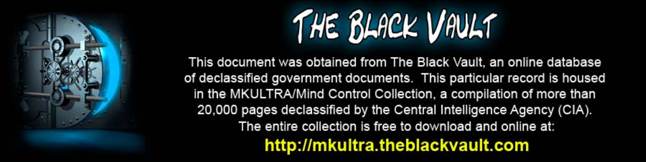

This document was obtained from The Black Vault, an online database of declassified government documents. This particular record is housed in the MKULTRA/Mind Control Collection, a compilation of more than 20,000 pages declassified by the Central Intelligence Agency (CIA). The entire collection is free to download and online at: http://mkultra.theblackvault.com